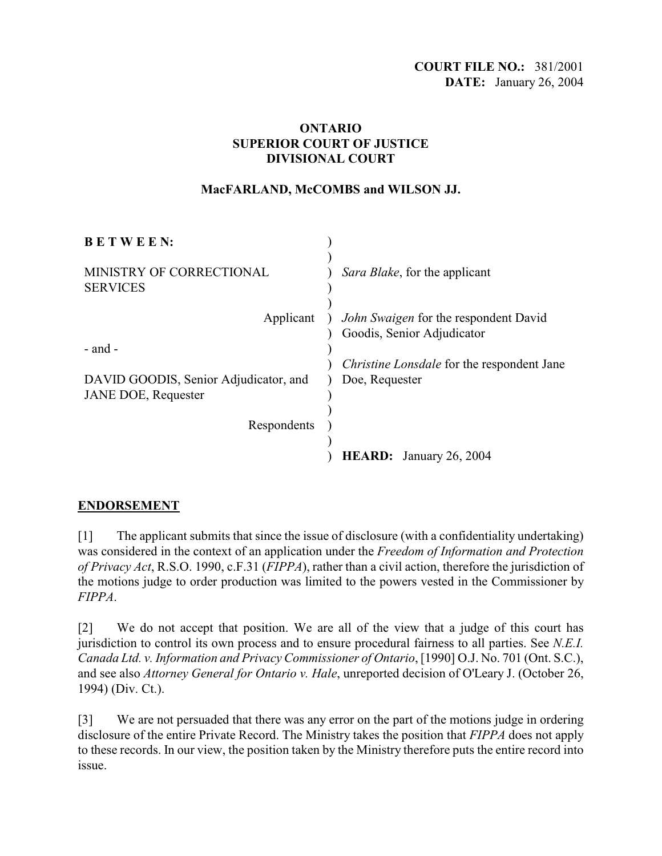## **ONTARIO SUPERIOR COURT OF JUSTICE DIVISIONAL COURT**

## **MacFARLAND, McCOMBS and WILSON JJ.**

| <b>BETWEEN:</b>                                                     |                                                                            |
|---------------------------------------------------------------------|----------------------------------------------------------------------------|
| MINISTRY OF CORRECTIONAL<br><b>SERVICES</b>                         | Sara Blake, for the applicant                                              |
| Applicant                                                           | <i>John Swaigen</i> for the respondent David<br>Goodis, Senior Adjudicator |
| $-$ and $-$                                                         |                                                                            |
|                                                                     | <i>Christine Lonsdale</i> for the respondent Jane                          |
| DAVID GOODIS, Senior Adjudicator, and<br><b>JANE DOE, Requester</b> | Doe, Requester                                                             |
|                                                                     |                                                                            |
| Respondents                                                         |                                                                            |
|                                                                     |                                                                            |
|                                                                     | <b>HEARD:</b> January 26, 2004                                             |

## **ENDORSEMENT**

[1] The applicant submits that since the issue of disclosure (with a confidentiality undertaking) was considered in the context of an application under the *Freedom of Information and Protection of Privacy Act*, R.S.O. 1990, c.F.31 (*FIPPA*), rather than a civil action, therefore the jurisdiction of the motions judge to order production was limited to the powers vested in the Commissioner by *FIPPA*.

[2] We do not accept that position. We are all of the view that a judge of this court has jurisdiction to control its own process and to ensure procedural fairness to all parties. See *N.E.I. Canada Ltd. v. Information and Privacy Commissioner of Ontario*, [1990] O.J. No. 701 (Ont. S.C.), and see also *Attorney General for Ontario v. Hale*, unreported decision of O'Leary J. (October 26, 1994) (Div. Ct.).

[3] We are not persuaded that there was any error on the part of the motions judge in ordering disclosure of the entire Private Record. The Ministry takes the position that *FIPPA* does not apply to these records. In our view, the position taken by the Ministry therefore puts the entire record into issue.